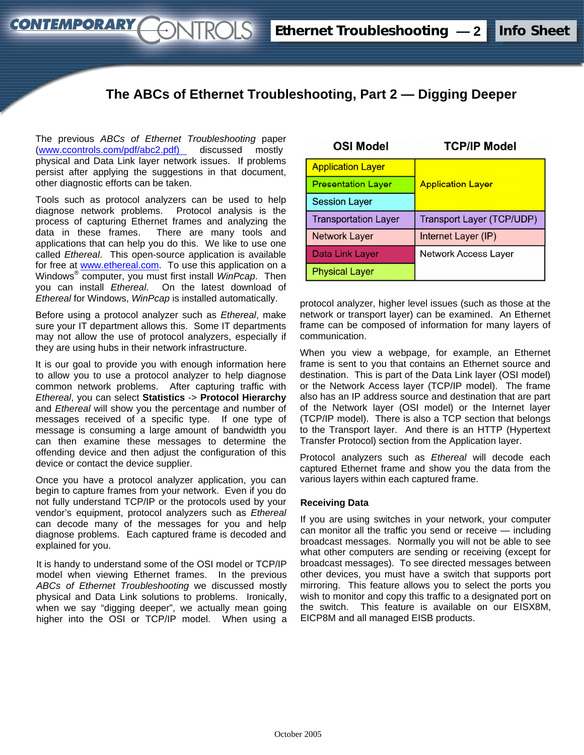# **The ABCs of Ethernet Troubleshooting, Part 2 — Digging Deeper**

The previous *ABCs of Ethernet Troubleshooting* paper (www.ccontrols[.com/pdf/abc2.pdf](http://www.ccontrols.com/pdf/abc2.pdf)) discussed mostly physical and Data Link layer network issues. If problems persist after applying the suggestions in that document, other diagnostic efforts can be taken.

*STROLS* 

**CONTEMPORARY** 

Tools such as protocol analyzers can be used to help diagnose network problems. Protocol analysis is the process of capturing Ethernet frames and analyzing the data in these frames. There are many tools and applications that can help you do this. We like to use one called *Ethereal*. This open-source application is available for free at www.ethereal.com. To use this application on a Windows® computer, you must first install *WinPcap*. Then you can install *Ethereal*. On the latest download of *Ethereal* for Windows, *WinPcap* is installed automatically.

Before using a protocol analyzer such as *Ethereal*, make sure your IT department allows this. Some IT departments may not allow the use of protocol analyzers, especially if they are using hubs in their network infrastructure.

It is our goal to provide you with enough information here to allow you to use a protocol analyzer to help diagnose common network problems. After capturing traffic with *Ethereal*, you can select **Statistics** -> **Protocol Hierarchy** and *Ethereal* will show you the percentage and number of messages received of a specific type. If one type of message is consuming a large amount of bandwidth you can then examine these messages to determine the offending device and then adjust the configuration of this device or contact the device supplier.

Once you have a protocol analyzer application, you can begin to capture frames from your network. Even if you do not fully understand TCP/IP or the protocols used by your vendor's equipment, protocol analyzers such as *Ethereal* can decode many of the messages for you and help diagnose problems. Each captured frame is decoded and explained for you.

It is handy to understand some of the OSI model or TCP/IP model when viewing Ethernet frames. In the previous *ABCs of Ethernet Troubleshooting* we discussed mostly physical and Data Link solutions to problems. Ironically, when we say "digging deeper", we actually mean going higher into the OSI or TCP/IP model. When using a

| <b>OSI Model</b>            | <b>TCP/IP Model</b>       |
|-----------------------------|---------------------------|
| <b>Application Layer</b>    |                           |
| <b>Presentation Layer</b>   | <b>Application Layer</b>  |
| <b>Session Layer</b>        |                           |
| <b>Transportation Layer</b> | Transport Layer (TCP/UDP) |
| <b>Network Layer</b>        | Internet Layer (IP)       |
| Data Link Layer             | Network Access Layer      |
| <b>Physical Layer</b>       |                           |

protocol analyzer, higher level issues (such as those at the network or transport layer) can be examined. An Ethernet frame can be composed of information for many layers of communication.

When you view a webpage, for example, an Ethernet frame is sent to you that contains an Ethernet source and destination. This is part of the Data Link layer (OSI model) or the Network Access layer (TCP/IP model). The frame also has an IP address source and destination that are part of the Network layer (OSI model) or the Internet layer (TCP/IP model). There is also a TCP section that belongs to the Transport layer. And there is an HTTP (Hypertext Transfer Protocol) section from the Application layer.

Protocol analyzers such as *Ethereal* will decode each captured Ethernet frame and show you the data from the various layers within each captured frame.

#### **Receiving Data**

If you are using switches in your network, your computer can monitor all the traffic you send or receive — including broadcast messages. Normally you will not be able to see what other computers are sending or receiving (except for broadcast messages). To see directed messages between other devices, you must have a switch that supports port mirroring. This feature allows you to select the ports you wish to monitor and copy this traffic to a designated port on the switch. This feature is available on our EISX8M, EICP8M and all managed EISB products.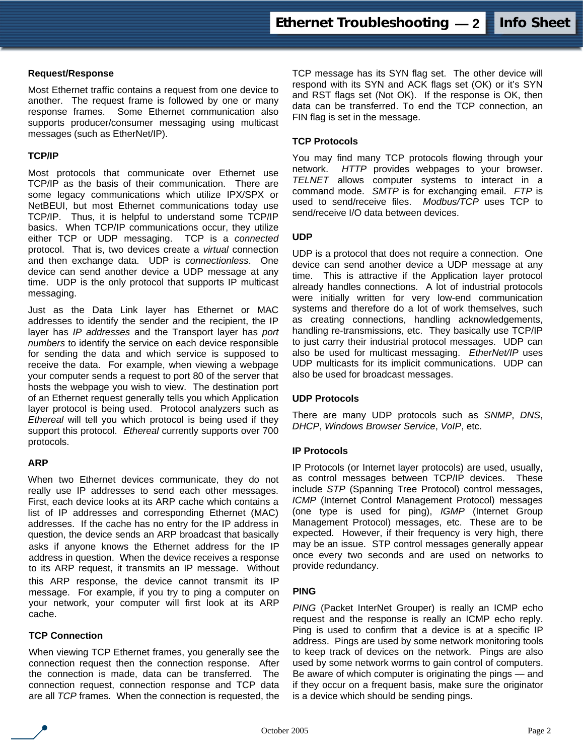# **Request/Response**

Most Ethernet traffic contains a request from one device to another. The request frame is followed by one or many response frames. Some Ethernet communication also supports producer/consumer messaging using multicast messages (such as EtherNet/IP).

# **TCP/IP**

Most protocols that communicate over Ethernet use TCP/IP as the basis of their communication. There are some legacy communications which utilize IPX/SPX or NetBEUI, but most Ethernet communications today use TCP/IP. Thus, it is helpful to understand some TCP/IP basics. When TCP/IP communications occur, they utilize either TCP or UDP messaging. TCP is a *connected* protocol. That is, two devices create a *virtual* connection and then exchange data. UDP is *connectionless*. One device can send another device a UDP message at any time. UDP is the only protocol that supports IP multicast messaging.

Just as the Data Link layer has Ethernet or MAC addresses to identify the sender and the recipient, the IP layer has *IP addresses* and the Transport layer has *port numbers* to identify the service on each device responsible for sending the data and which service is supposed to receive the data. For example, when viewing a webpage your computer sends a request to port 80 of the server that hosts the webpage you wish to view. The destination port of an Ethernet request generally tells you which Application layer protocol is being used. Protocol analyzers such as *Ethereal* will tell you which protocol is being used if they support this protocol. *Ethereal* currently supports over 700 protocols.

#### **ARP**

When two Ethernet devices communicate, they do not really use IP addresses to send each other messages. First, each device looks at its ARP cache which contains a list of IP addresses and corresponding Ethernet (MAC) addresses. If the cache has no entry for the IP address in question, the device sends an ARP broadcast that basically asks if anyone knows the Ethernet address for the IP address in question. When the device receives a response to its ARP request, it transmits an IP message. Without this ARP response, the device cannot transmit its IP message. For example, if you try to ping a computer on your network, your computer will first look at its ARP cache.

# **TCP Connection**

When viewing TCP Ethernet frames, you generally see the connection request then the connection response. After the connection is made, data can be transferred. The connection request, connection response and TCP data are all *TCP* frames. When the connection is requested, the TCP message has its SYN flag set. The other device will respond with its SYN and ACK flags set (OK) or it's SYN and RST flags set (Not OK). If the response is OK, then data can be transferred. To end the TCP connection, an FIN flag is set in the message.

### **TCP Protocols**

You may find many TCP protocols flowing through your network. *HTTP* provides webpages to your browser. *TELNET* allows computer systems to interact in a command mode. *SMTP* is for exchanging email. *FTP* is used to send/receive files. *Modbus/TCP* uses TCP to send/receive I/O data between devices

#### **UDP**

UDP is a protocol that does not require a connection. One device can send another device a UDP message at any time. This is attractive if the Application layer protocol already handles connections. A lot of industrial protocols were initially written for very low-end communication systems and therefore do a lot of work themselves, such as creating connections, handling acknowledgements, handling re-transmissions, etc. They basically use TCP/IP to just carry their industrial protocol messages. UDP can also be used for multicast messaging. *EtherNet/IP* uses UDP multicasts for its implicit communications. UDP can also be used for broadcast messages.

# **UDP Protocols**

There are many UDP protocols such as *SNMP*, *DNS*, *DHCP*, *Windows Browser Service*, *VoIP*, etc.

#### **IP Protocols**

IP Protocols (or Internet layer protocols) are used, usually, as control messages between TCP/IP devices. These include *STP* (Spanning Tree Protocol) control messages, *ICMP* (Internet Control Management Protocol) messages (one type is used for ping), *IGMP* (Internet Group Management Protocol) messages, etc. These are to be expected. However, if their frequency is very high, there may be an issue. STP control messages generally appear once every two seconds and are used on networks to provide redundancy.

#### **PING**

*PING* (Packet InterNet Grouper) is really an ICMP echo request and the response is really an ICMP echo reply. Ping is used to confirm that a device is at a specific IP address. Pings are used by some network monitoring tools to keep track of devices on the network. Pings are also used by some network worms to gain control of computers. Be aware of which computer is originating the pings — and if they occur on a frequent basis, make sure the originator is a device which should be sending pings.